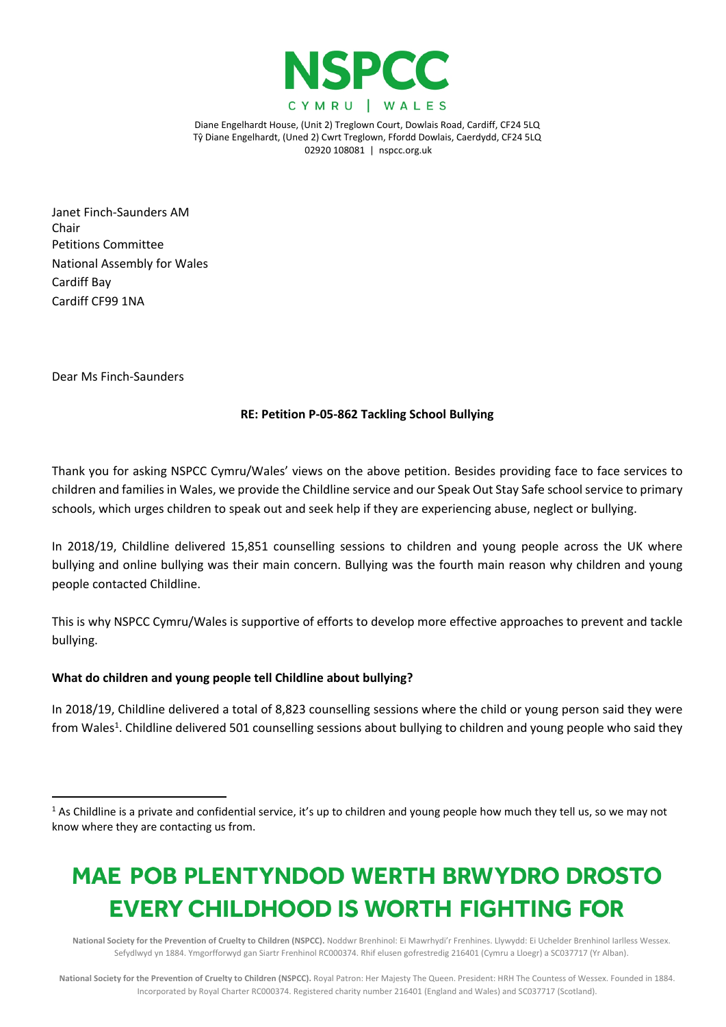

Janet Finch-Saunders AM Chair Petitions Committee National Assembly for Wales Cardiff Bay Cardiff CF99 1NA

Dear Ms Finch-Saunders

### **RE: Petition P-05-862 Tackling School Bullying**

Thank you for asking NSPCC Cymru/Wales' views on the above petition. Besides providing face to face services to children and families in Wales, we provide the Childline service and our Speak Out Stay Safe school service to primary schools, which urges children to speak out and seek help if they are experiencing abuse, neglect or bullying.

In 2018/19, Childline delivered 15,851 counselling sessions to children and young people across the UK where bullying and online bullying was their main concern. Bullying was the fourth main reason why children and young people contacted Childline.

This is why NSPCC Cymru/Wales is supportive of efforts to develop more effective approaches to prevent and tackle bullying.

### **What do children and young people tell Childline about bullying?**

In 2018/19, Childline delivered a total of 8,823 counselling sessions where the child or young person said they were from Wales<sup>1</sup>. Childline delivered 501 counselling sessions about bullying to children and young people who said they

# MAE POB PLENTYNDOD WERTH BRWYDRO DROSTO **EVERY CHILDHOOD IS WORTH FIGHTING FOR**

National Society for the Prevention of Cruelty to Children (NSPCC). Noddwr Brenhinol: Ei Mawrhydi'r Frenhines. Llywydd: Ei Uchelder Brenhinol Iarlless Wessex. Sefydlwyd yn 1884. Ymgorfforwyd gan Siartr Frenhinol RC000374. Rhif elusen gofrestredig 216401 (Cymru a Lloegr) a SC037717 (Yr Alban).

National Society for the Prevention of Cruelty to Children (NSPCC). Royal Patron: Her Majesty The Queen. President: HRH The Countess of Wessex. Founded in 1884. Incorporated by Royal Charter RC000374. Registered charity number 216401 (England and Wales) and SC037717 (Scotland).

 $1$  As Childline is a private and confidential service, it's up to children and young people how much they tell us, so we may not know where they are contacting us from.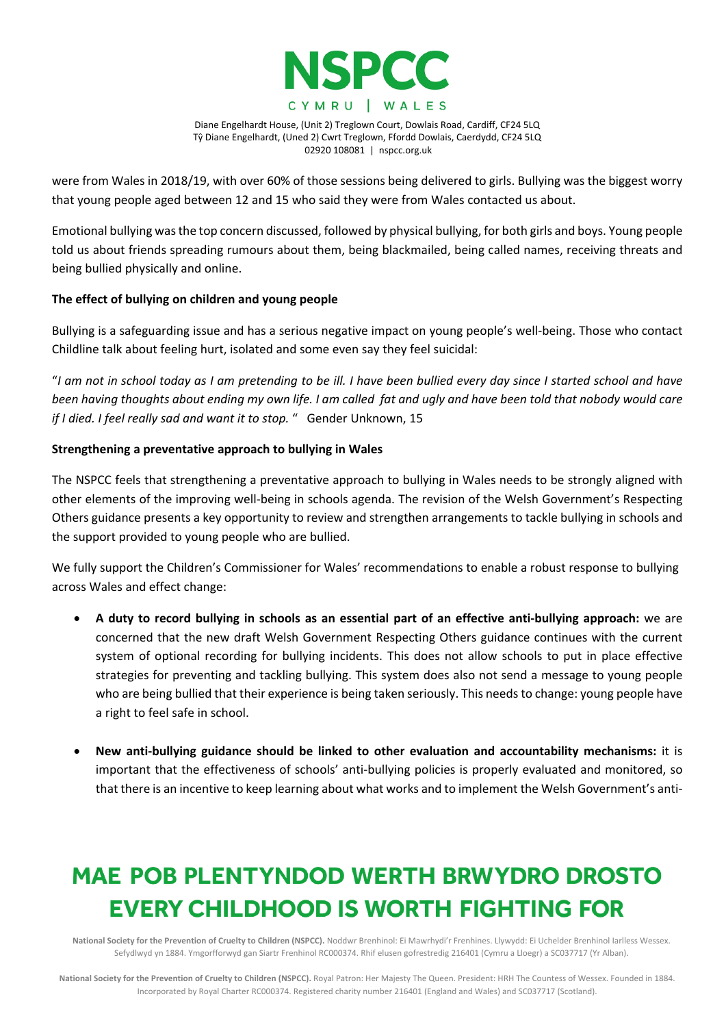

were from Wales in 2018/19, with over 60% of those sessions being delivered to girls. Bullying was the biggest worry that young people aged between 12 and 15 who said they were from Wales contacted us about.

Emotional bullying wasthe top concern discussed, followed by physical bullying, for both girls and boys. Young people told us about friends spreading rumours about them, being blackmailed, being called names, receiving threats and being bullied physically and online.

## **The effect of bullying on children and young people**

Bullying is a safeguarding issue and has a serious negative impact on young people's well-being. Those who contact Childline talk about feeling hurt, isolated and some even say they feel suicidal:

"I am not in school today as I am pretending to be ill. I have been bullied every day since I started school and have been having thoughts about ending my own life. I am called fat and ugly and have been told that nobody would care *if I died. I feel really sad and want it to stop.* " Gender Unknown, 15

## **Strengthening a preventative approach to bullying in Wales**

The NSPCC feels that strengthening a preventative approach to bullying in Wales needs to be strongly aligned with other elements of the improving well-being in schools agenda. The revision of the Welsh Government's Respecting Others guidance presents a key opportunity to review and strengthen arrangements to tackle bullying in schools and the support provided to young people who are bullied.

We fully support the Children's Commissioner for Wales' recommendations to enable a robust response to bullying across Wales and effect change:

- **A duty to record bullying in schools as an essential part of an effective anti-bullying approach:** we are concerned that the new draft Welsh Government Respecting Others guidance continues with the current system of optional recording for bullying incidents. This does not allow schools to put in place effective strategies for preventing and tackling bullying. This system does also not send a message to young people who are being bullied that their experience is being taken seriously. This needs to change: young people have a right to feel safe in school.
- **New anti-bullying guidance should be linked to other evaluation and accountability mechanisms:** it is important that the effectiveness of schools' anti-bullying policies is properly evaluated and monitored, so that there is an incentive to keep learning about what works and to implement the Welsh Government's anti-

# MAE POB PLENTYNDOD WERTH BRWYDRO DROSTO **EVERY CHILDHOOD IS WORTH FIGHTING FOR**

National Society for the Prevention of Cruelty to Children (NSPCC). Noddwr Brenhinol: Ei Mawrhydi'r Frenhines. Llywydd: Ei Uchelder Brenhinol Iarlless Wessex. Sefydlwyd yn 1884. Ymgorfforwyd gan Siartr Frenhinol RC000374. Rhif elusen gofrestredig 216401 (Cymru a Lloegr) a SC037717 (Yr Alban).

National Society for the Prevention of Cruelty to Children (NSPCC). Royal Patron: Her Majesty The Queen. President: HRH The Countess of Wessex. Founded in 1884. Incorporated by Royal Charter RC000374. Registered charity number 216401 (England and Wales) and SC037717 (Scotland).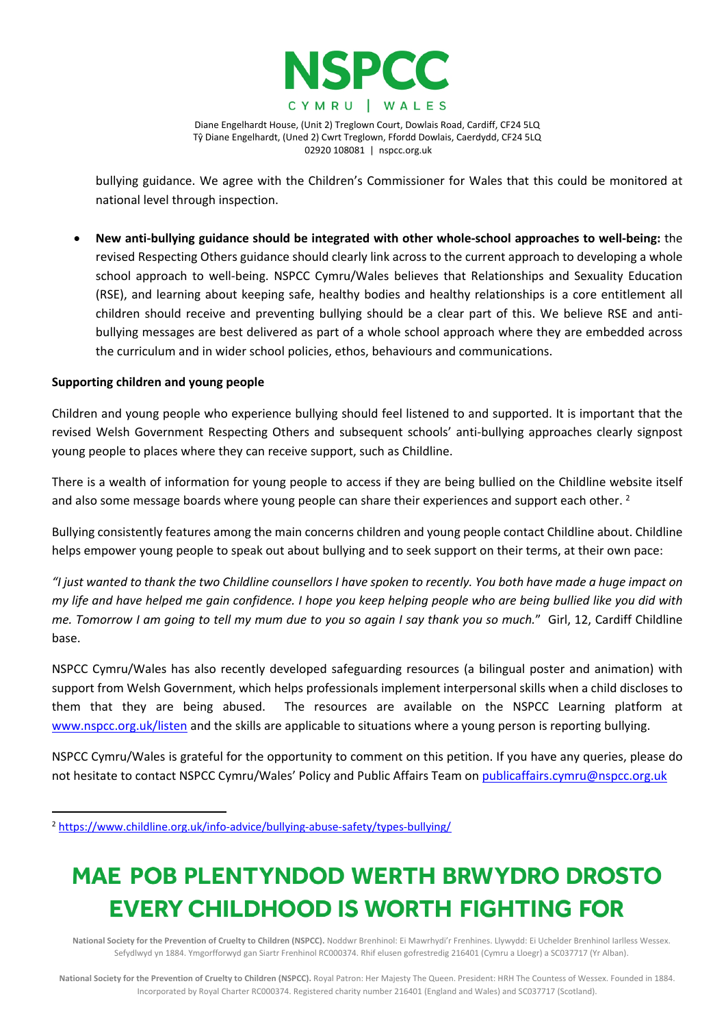

bullying guidance. We agree with the Children's Commissioner for Wales that this could be monitored at national level through inspection.

 **New anti-bullying guidance should be integrated with other whole-school approaches to well-being:** the revised Respecting Others guidance should clearly link across to the current approach to developing a whole school approach to well-being. NSPCC Cymru/Wales believes that Relationships and Sexuality Education (RSE), and learning about keeping safe, healthy bodies and healthy relationships is a core entitlement all children should receive and preventing bullying should be a clear part of this. We believe RSE and antibullying messages are best delivered as part of a whole school approach where they are embedded across the curriculum and in wider school policies, ethos, behaviours and communications.

### **Supporting children and young people**

Children and young people who experience bullying should feel listened to and supported. It is important that the revised Welsh Government Respecting Others and subsequent schools' anti-bullying approaches clearly signpost young people to places where they can receive support, such as Childline.

There is a wealth of information for young people to access if they are being bullied on the Childline website itself and also some message boards where young people can share their experiences and support each other. <sup>2</sup>

Bullying consistently features among the main concerns children and young people contact Childline about. Childline helps empower young people to speak out about bullying and to seek support on their terms, at their own pace:

"I just wanted to thank the two Childline counsellors I have spoken to recently. You both have made a huge impact on my life and have helped me gain confidence. I hope you keep helping people who are being bullied like you did with me. Tomorrow I am going to tell my mum due to you so again I say thank you so much." Girl, 12, Cardiff Childline base.

NSPCC Cymru/Wales has also recently developed safeguarding resources (a bilingual poster and animation) with support from Welsh Government, which helps professionals implement interpersonal skills when a child discloses to them that they are being abused. The resources are available on the NSPCC Learning platform at [www.nspcc.org.uk/listen](http://www.nspcc.org.uk/listen) and the skills are applicable to situations where a young person is reporting bullying.

NSPCC Cymru/Wales is grateful for the opportunity to comment on this petition. If you have any queries, please do not hesitate to contact NSPCC Cymru/Wales' Policy and Public Affairs Team on [publicaffairs.cymru@nspcc.org.uk](mailto:publicaffairs.cymru@nspcc.org.uk)

# MAE POB PLENTYNDOD WERTH BRWYDRO DROSTO **EVERY CHILDHOOD IS WORTH FIGHTING FOR**

National Society for the Prevention of Cruelty to Children (NSPCC). Noddwr Brenhinol: Ei Mawrhydi'r Frenhines. Llywydd: Ei Uchelder Brenhinol Iarlless Wessex. Sefydlwyd yn 1884. Ymgorfforwyd gan Siartr Frenhinol RC000374. Rhif elusen gofrestredig 216401 (Cymru a Lloegr) a SC037717 (Yr Alban).

<sup>2</sup> <https://www.childline.org.uk/info-advice/bullying-abuse-safety/types-bullying/>